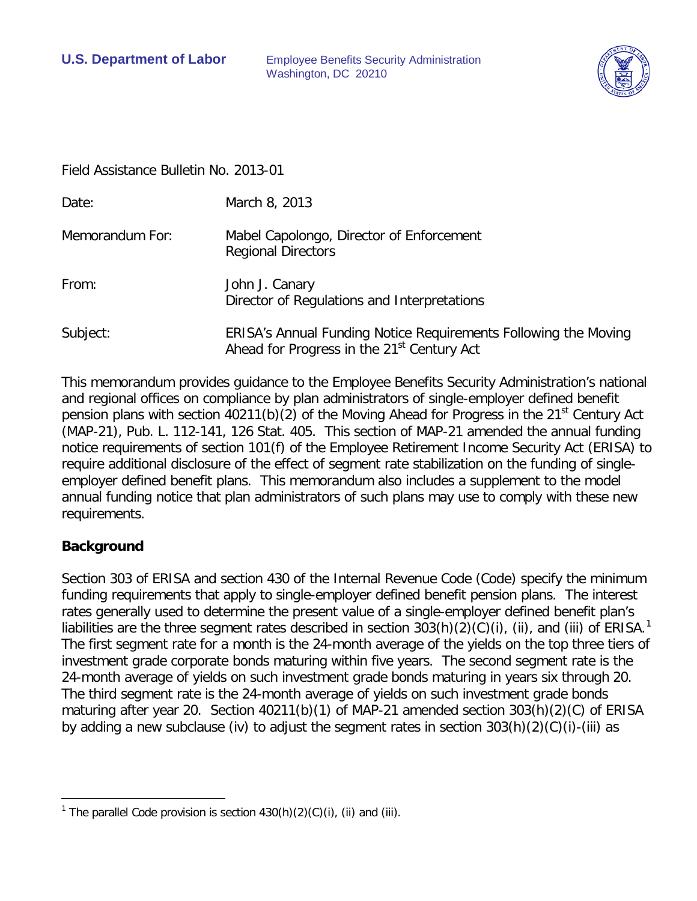**U.S. Department of Labor** Employee Benefits Security Administration Washington, DC 20210



Field Assistance Bulletin No. 2013-01

| Date:           | March 8, 2013                                                                                                             |
|-----------------|---------------------------------------------------------------------------------------------------------------------------|
| Memorandum For: | Mabel Capolongo, Director of Enforcement<br><b>Regional Directors</b>                                                     |
| From:           | John J. Canary<br>Director of Regulations and Interpretations                                                             |
| Subject:        | ERISA's Annual Funding Notice Requirements Following the Moving<br>Ahead for Progress in the 21 <sup>st</sup> Century Act |

This memorandum provides guidance to the Employee Benefits Security Administration's national and regional offices on compliance by plan administrators of single-employer defined benefit pension plans with section 40211(b)(2) of the Moving Ahead for Progress in the 21<sup>st</sup> Century Act (MAP-21), Pub. L. 112-141, 126 Stat. 405. This section of MAP-21 amended the annual funding notice requirements of section 101(f) of the Employee Retirement Income Security Act (ERISA) to require additional disclosure of the effect of segment rate stabilization on the funding of singleemployer defined benefit plans. This memorandum also includes a supplement to the model annual funding notice that plan administrators of such plans may use to comply with these new requirements.

## **Background**

Section 303 of ERISA and section 430 of the Internal Revenue Code (Code) specify the minimum funding requirements that apply to single-employer defined benefit pension plans. The interest rates generally used to determine the present value of a single-employer defined benefit plan's liabilities are the three segment rates described in section 303(h)(2)(C)(i), (ii), and (iii) of ERISA.<sup>[1](#page-0-0)</sup> The first segment rate for a month is the 24-month average of the yields on the top three tiers of investment grade corporate bonds maturing within five years. The second segment rate is the 24-month average of yields on such investment grade bonds maturing in years six through 20. The third segment rate is the 24-month average of yields on such investment grade bonds maturing after year 20. Section 40211(b)(1) of MAP-21 amended section 303(h)(2)(C) of ERISA by adding a new subclause (iv) to adjust the segment rates in section 303(h)(2)(C)(i)-(iii) as

<span id="page-0-1"></span><span id="page-0-0"></span> $\overline{a}$ <sup>1</sup> The parallel Code provision is section  $430(h)(2)(C)(i)$ , (ii) and (iii).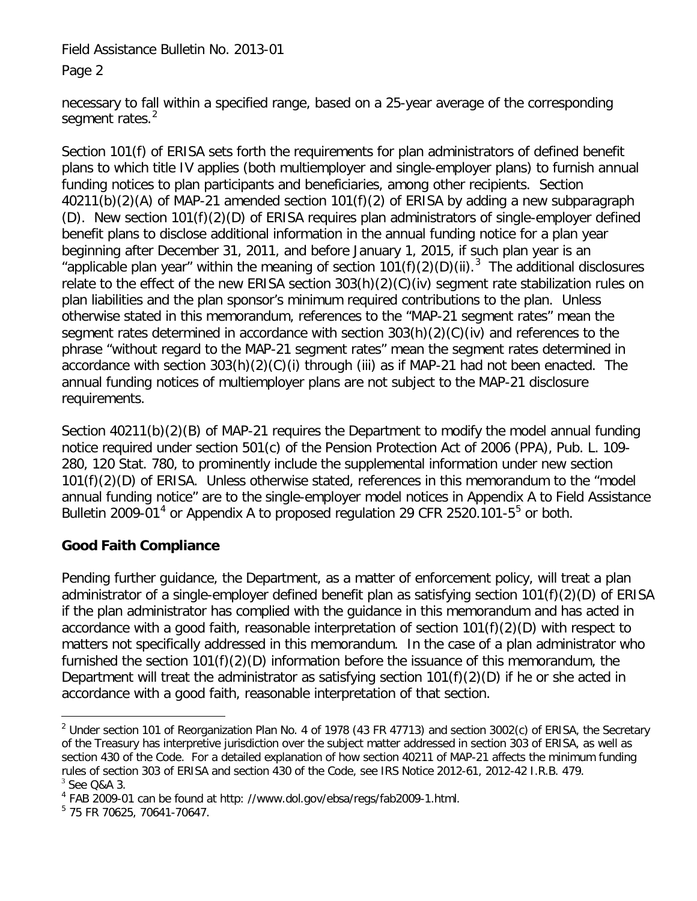Page 2

necessary to fall within a specified range, based on a 25-year average of the corresponding segment rates.<sup>[2](#page-0-1)</sup>

Section 101(f) of ERISA sets forth the requirements for plan administrators of defined benefit plans to which title IV applies (both multiemployer and single-employer plans) to furnish annual funding notices to plan participants and beneficiaries, among other recipients. Section 40211(b)(2)(A) of MAP-21 amended section 101(f)(2) of ERISA by adding a new subparagraph (D). New section 101(f)(2)(D) of ERISA requires plan administrators of single-employer defined benefit plans to disclose additional information in the annual funding notice for a plan year beginning after December 31, 2011, and before January 1, 2015, if such plan year is an "applicable plan year" within the meaning of section  $101(f)(2)(D)(ii)$ .<sup>[3](#page-1-0)</sup> The additional disclosures relate to the effect of the new ERISA section 303(h)(2)(C)(iv) segment rate stabilization rules on plan liabilities and the plan sponsor's minimum required contributions to the plan. Unless otherwise stated in this memorandum, references to the "MAP-21 segment rates" mean the segment rates determined in accordance with section 303(h)(2)(C)(iv) and references to the phrase "without regard to the MAP-21 segment rates" mean the segment rates determined in accordance with section 303(h)(2)(C)(i) through (iii) as if MAP-21 had not been enacted. The annual funding notices of multiemployer plans are not subject to the MAP-21 disclosure requirements.

Section 40211(b)(2)(B) of MAP-21 requires the Department to modify the model annual funding notice required under section 501(c) of the Pension Protection Act of 2006 (PPA), Pub. L. 109- 280, 120 Stat. 780, to prominently include the supplemental information under new section 101(f)(2)(D) of ERISA. Unless otherwise stated, references in this memorandum to the "model annual funding notice" are to the single-employer model notices in Appendix A to Field Assistance Bulletin 2009-01<sup>[4](#page-1-1)</sup> or Appendix A to proposed regulation 29 CFR 2[5](#page-1-2)20.101-5<sup>5</sup> or both.

# **Good Faith Compliance**

Pending further guidance, the Department, as a matter of enforcement policy, will treat a plan administrator of a single-employer defined benefit plan as satisfying section 101(f)(2)(D) of ERISA if the plan administrator has complied with the guidance in this memorandum and has acted in accordance with a good faith, reasonable interpretation of section 101(f)(2)(D) with respect to matters not specifically addressed in this memorandum. In the case of a plan administrator who furnished the section 101(f)(2)(D) information before the issuance of this memorandum, the Department will treat the administrator as satisfying section 101(f)(2)(D) if he or she acted in accordance with a good faith, reasonable interpretation of that section.

<span id="page-1-3"></span> $\overline{a}$ <sup>2</sup> Under section 101 of Reorganization Plan No. 4 of 1978 (43 FR 47713) and section 3002(c) of ERISA, the Secretary of the Treasury has interpretive jurisdiction over the subject matter addressed in section 303 of ERISA, as well as section 430 of the Code. For a detailed explanation of how section 40211 of MAP-21 affects the minimum funding rules of section 303 of ERISA and section 430 of the Code, see IRS Notice 2012-61, 2012-42 I.R.B. 479.  $3$  See O&A 3.

<span id="page-1-1"></span><span id="page-1-0"></span><sup>&</sup>lt;sup>4</sup> FAB 2009-01 can be found at http: //www.dol.gov/ebsa/regs/fab2009-1.html.

<span id="page-1-2"></span><sup>5</sup> 75 FR 70625, 70641-70647.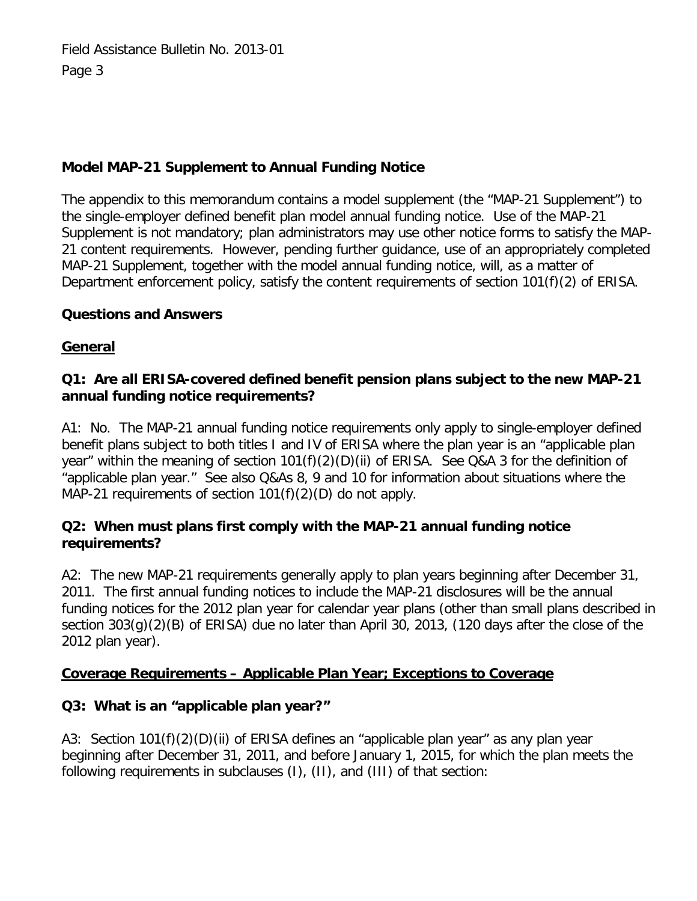# **Model MAP-21 Supplement to Annual Funding Notice**

The appendix to this memorandum contains a model supplement (the "MAP-21 Supplement") to the single-employer defined benefit plan model annual funding notice. Use of the MAP-21 Supplement is not mandatory; plan administrators may use other notice forms to satisfy the MAP-21 content requirements. However, pending further guidance, use of an appropriately completed MAP-21 Supplement, together with the model annual funding notice, will, as a matter of Department enforcement policy, satisfy the content requirements of section 101(f)(2) of ERISA.

## **Questions and Answers**

## **General**

# **Q1: Are all ERISA-covered defined benefit pension plans subject to the new MAP-21 annual funding notice requirements?**

A1:No. The MAP-21 annual funding notice requirements only apply to single-employer defined benefit plans subject to both titles I and IV of ERISA where the plan year is an "applicable plan year" within the meaning of section 101(f)(2)(D)(ii) of ERISA. See Q&A 3 for the definition of "applicable plan year." See also Q&As 8, 9 and 10 for information about situations where the MAP-21 requirements of section 101(f)(2)(D) do not apply.

## **Q2: When must plans first comply with the MAP-21 annual funding notice requirements?**

A2: The new MAP-21 requirements generally apply to plan years beginning after December 31, 2011. The first annual funding notices to include the MAP-21 disclosures will be the annual funding notices for the 2012 plan year for calendar year plans (other than small plans described in section 303(g)(2)(B) of ERISA) due no later than April 30, 2013, (120 days after the close of the 2012 plan year).

# **Coverage Requirements – Applicable Plan Year; Exceptions to Coverage**

# **Q3: What is an "applicable plan year?"**

A3: Section 101(f)(2)(D)(ii) of ERISA defines an "applicable plan year" as any plan year beginning after December 31, 2011, and before January 1, 2015, for which the plan meets the following requirements in subclauses (I), (II), and (III) of that section: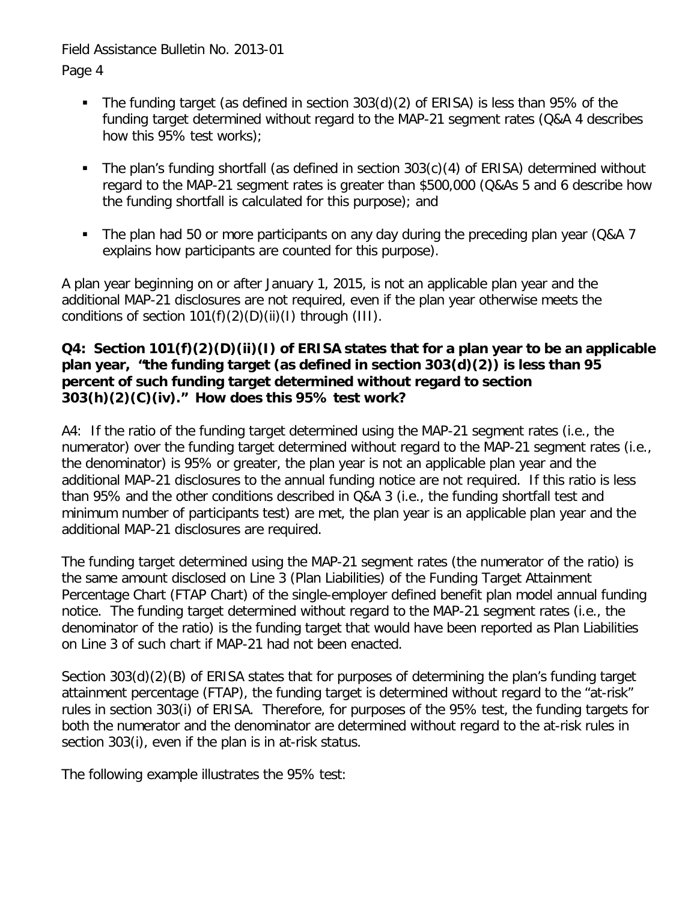Page 4

- The funding target (as defined in section 303(d)(2) of ERISA) is less than 95% of the funding target determined without regard to the MAP-21 segment rates (Q&A 4 describes how this 95% test works);
- The plan's funding shortfall (as defined in section 303(c)(4) of ERISA) determined without regard to the MAP-21 segment rates is greater than \$500,000 (Q&As 5 and 6 describe how the funding shortfall is calculated for this purpose); and
- The plan had 50 or more participants on any day during the preceding plan year (Q&A 7 explains how participants are counted for this purpose).

A plan year beginning on or after January 1, 2015, is not an applicable plan year and the additional MAP-21 disclosures are not required, even if the plan year otherwise meets the conditions of section  $101(f)(2)(D)(ii)(I)$  through (III).

#### **Q4: Section 101(f)(2)(D)(ii)(I) of ERISA states that for a plan year to be an applicable plan year, "the funding target (as defined in section 303(d)(2)) is less than 95 percent of such funding target determined without regard to section 303(h)(2)(C)(iv)." How does this 95% test work?**

A4: If the ratio of the funding target determined using the MAP-21 segment rates (i.e., the numerator) over the funding target determined without regard to the MAP-21 segment rates (i.e., the denominator) is 95% or greater, the plan year is not an applicable plan year and the additional MAP-21 disclosures to the annual funding notice are not required. If this ratio is less than 95% and the other conditions described in Q&A 3 (i.e., the funding shortfall test and minimum number of participants test) are met, the plan year is an applicable plan year and the additional MAP-21 disclosures are required.

The funding target determined using the MAP-21 segment rates (the numerator of the ratio) is the same amount disclosed on Line 3 (Plan Liabilities) of the Funding Target Attainment Percentage Chart (FTAP Chart) of the single-employer defined benefit plan model annual funding notice. The funding target determined without regard to the MAP-21 segment rates (i.e., the denominator of the ratio) is the funding target that would have been reported as Plan Liabilities on Line 3 of such chart if MAP-21 had not been enacted.

Section 303(d)(2)(B) of ERISA states that for purposes of determining the plan's funding target attainment percentage (FTAP), the funding target is determined without regard to the "at-risk" rules in section 303(i) of ERISA. Therefore, for purposes of the 95% test, the funding targets for both the numerator and the denominator are determined without regard to the at-risk rules in section 303(i), even if the plan is in at-risk status.

The following example illustrates the 95% test: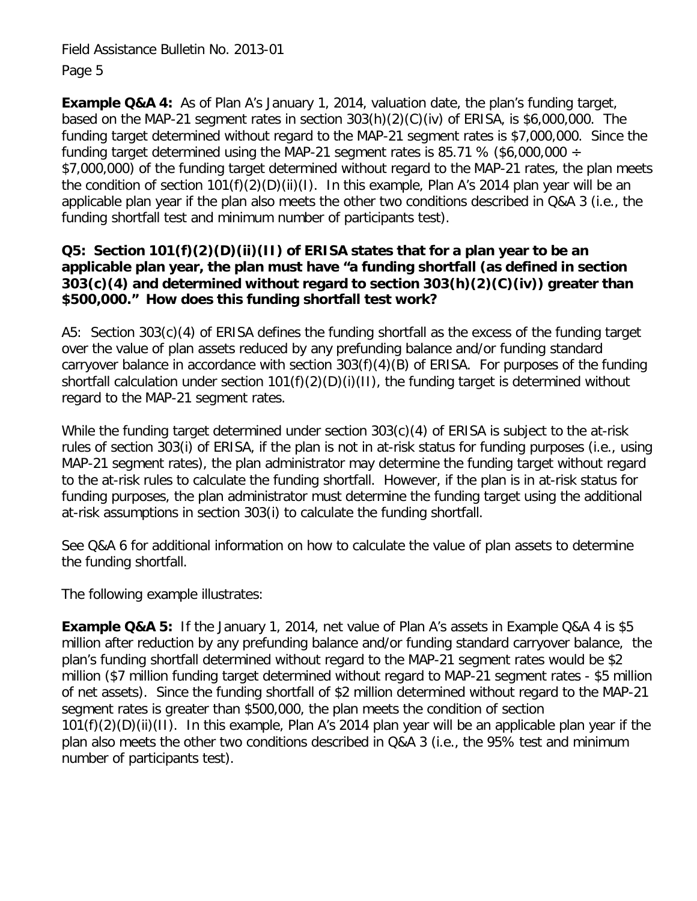**Example Q&A 4:** As of Plan A's January 1, 2014, valuation date, the plan's funding target, based on the MAP-21 segment rates in section 303(h)(2)(C)(iv) of ERISA, is \$6,000,000. The funding target determined without regard to the MAP-21 segment rates is \$7,000,000. Since the funding target determined using the MAP-21 segment rates is 85.71 % (\$6,000,000  $\div$ \$7,000,000) of the funding target determined without regard to the MAP-21 rates, the plan meets the condition of section 101(f)(2)(D)(ii)(I). In this example, Plan A's 2014 plan year will be an applicable plan year if the plan also meets the other two conditions described in Q&A 3 (i.e., the funding shortfall test and minimum number of participants test).

## **Q5: Section 101(f)(2)(D)(ii)(II) of ERISA states that for a plan year to be an applicable plan year, the plan must have "a funding shortfall (as defined in section 303(c)(4) and determined without regard to section 303(h)(2)(C)(iv)) greater than \$500,000." How does this funding shortfall test work?**

A5: Section 303(c)(4) of ERISA defines the funding shortfall as the excess of the funding target over the value of plan assets reduced by any prefunding balance and/or funding standard carryover balance in accordance with section 303(f)(4)(B) of ERISA. For purposes of the funding shortfall calculation under section 101(f)(2)(D)(i)(II), the funding target is determined without regard to the MAP-21 segment rates.

While the funding target determined under section 303(c)(4) of ERISA is subject to the at-risk rules of section 303(i) of ERISA, if the plan is not in at-risk status for funding purposes (i.e., using MAP-21 segment rates), the plan administrator may determine the funding target without regard to the at-risk rules to calculate the funding shortfall. However, if the plan is in at-risk status for funding purposes, the plan administrator must determine the funding target using the additional at-risk assumptions in section 303(i) to calculate the funding shortfall.

See Q&A 6 for additional information on how to calculate the value of plan assets to determine the funding shortfall.

The following example illustrates:

**Example Q&A 5:** If the January 1, 2014, net value of Plan A's assets in Example Q&A 4 is \$5 million after reduction by any prefunding balance and/or funding standard carryover balance, the plan's funding shortfall determined without regard to the MAP-21 segment rates would be \$2 million (\$7 million funding target determined without regard to MAP-21 segment rates - \$5 million of net assets). Since the funding shortfall of \$2 million determined without regard to the MAP-21 segment rates is greater than \$500,000, the plan meets the condition of section 101(f)(2)(D)(ii)(II). In this example, Plan A's 2014 plan year will be an applicable plan year if the plan also meets the other two conditions described in Q&A 3 (i.e., the 95% test and minimum number of participants test).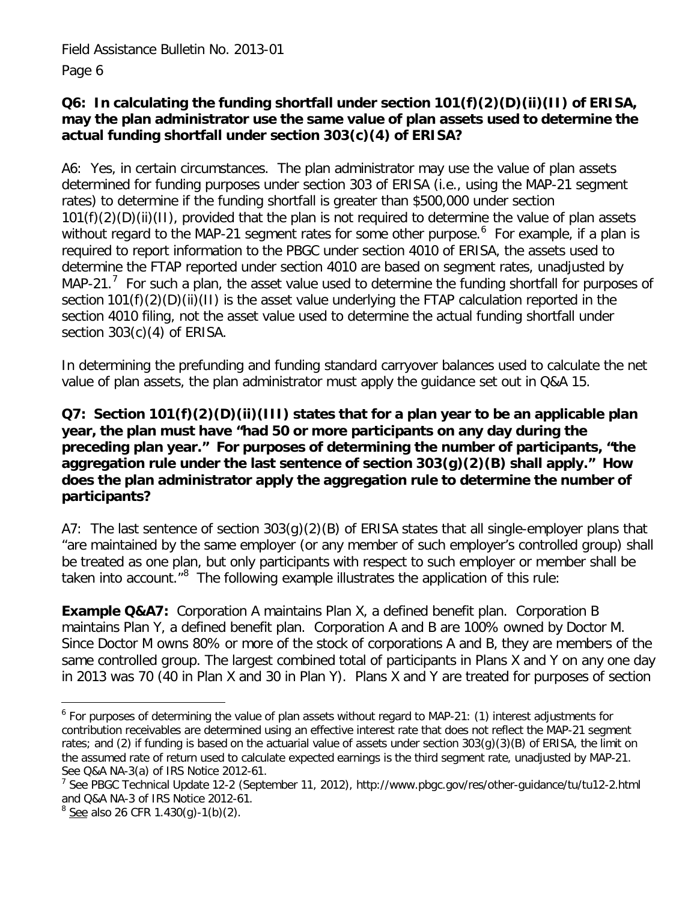#### **Q6: In calculating the funding shortfall under section 101(f)(2)(D)(ii)(II) of ERISA, may the plan administrator use the same value of plan assets used to determine the actual funding shortfall under section 303(c)(4) of ERISA?**

A6: Yes, in certain circumstances. The plan administrator may use the value of plan assets determined for funding purposes under section 303 of ERISA (i.e., using the MAP-21 segment rates) to determine if the funding shortfall is greater than \$500,000 under section 101(f)(2)(D)(ii)(II), provided that the plan is not required to determine the value of plan assets without regard to the MAP-21 segment rates for some other purpose.<sup>[6](#page-1-3)</sup> For example, if a plan is required to report information to the PBGC under section 4010 of ERISA, the assets used to determine the FTAP reported under section 4010 are based on segment rates, unadjusted by MAP-21.<sup>[7](#page-5-0)</sup> For such a plan, the asset value used to determine the funding shortfall for purposes of section 101(f)(2)(D)(ii)(II) is the asset value underlying the FTAP calculation reported in the [section 4010 filing, not the asset value used to determine the actual funding shortfall under](file:///C:\Users\padamsa\AppData\Local\Microsoft\Windows\Temporary%20Internet%20Files\Hindmarch.Thomas\AppData\Local\Temp\1\Temp1_SecureZIP%20Attachments.zip\For%20such%20a%20plan,%20the%20asset%20value%20used%20to%20determine%20the%20funding%20shortfall%20for%20purposes%20of%20section%20101(f)(2)(D)(ii)(II)%20is%20the%20asset%20value%20underlying%20the%20FTAP%20calculation%20reported%20in%20the%20section%204010%20filing,%20not%20the%20asset%20value%20used%20to%20determine%20the%20actual%20funding%20shortfall%20under%20section%20303(c)%20of%20ERISA) [section 303\(c\)\(4\) of ERISA.](file:///C:\Users\padamsa\AppData\Local\Microsoft\Windows\Temporary%20Internet%20Files\Hindmarch.Thomas\AppData\Local\Temp\1\Temp1_SecureZIP%20Attachments.zip\For%20such%20a%20plan,%20the%20asset%20value%20used%20to%20determine%20the%20funding%20shortfall%20for%20purposes%20of%20section%20101(f)(2)(D)(ii)(II)%20is%20the%20asset%20value%20underlying%20the%20FTAP%20calculation%20reported%20in%20the%20section%204010%20filing,%20not%20the%20asset%20value%20used%20to%20determine%20the%20actual%20funding%20shortfall%20under%20section%20303(c)%20of%20ERISA)

In determining the prefunding and funding standard carryover balances used to calculate the net value of plan assets, the plan administrator must apply the guidance set out in Q&A 15.

#### **Q7: Section 101(f)(2)(D)(ii)(III) states that for a plan year to be an applicable plan year, the plan must have "had 50 or more participants on any day during the preceding plan year." For purposes of determining the number of participants, "the aggregation rule under the last sentence of section 303(g)(2)(B) shall apply." How does the plan administrator apply the aggregation rule to determine the number of participants?**

A7: The last sentence of section 303(g)(2)(B) of ERISA states that all single-employer plans that "are maintained by the same employer (or any member of such employer's controlled group) shall be treated as one plan, but only participants with respect to such employer or member shall be taken into account."<sup>[8](#page-5-1)</sup> The following example illustrates the application of this rule:

**Example Q&A7:** Corporation A maintains Plan X, a defined benefit plan. Corporation B maintains Plan Y, a defined benefit plan. Corporation A and B are 100% owned by Doctor M. Since Doctor M owns 80% or more of the stock of corporations A and B, they are members of the same controlled group. The largest combined total of participants in Plans X and Y on any one day in 2013 was 70 (40 in Plan X and 30 in Plan Y). Plans X and Y are treated for purposes of section

 $\overline{a}$ <sup>6</sup> For purposes of determining the value of plan assets without regard to MAP-21: (1) interest adjustments for contribution receivables are determined using an effective interest rate that does not reflect the MAP-21 segment rates; and (2) if funding is based on the actuarial value of assets under section  $303(q)(3)(B)$  of ERISA, the limit on the assumed rate of return used to calculate expected earnings is the third segment rate, unadjusted by MAP-21. See Q&A NA-3(a) of IRS Notice 2012-61.

<span id="page-5-2"></span><span id="page-5-0"></span><sup>&</sup>lt;sup>7</sup> See PBGC Technical Update 12-2 (September 11, 2012), http://www.pbgc.gov/res/other-guidance/tu/tu12-2.html and Q&A NA-3 of IRS Notice 2012-61.

<span id="page-5-1"></span> $8 \text{ See}$  also 26 CFR 1.430(g)-1(b)(2).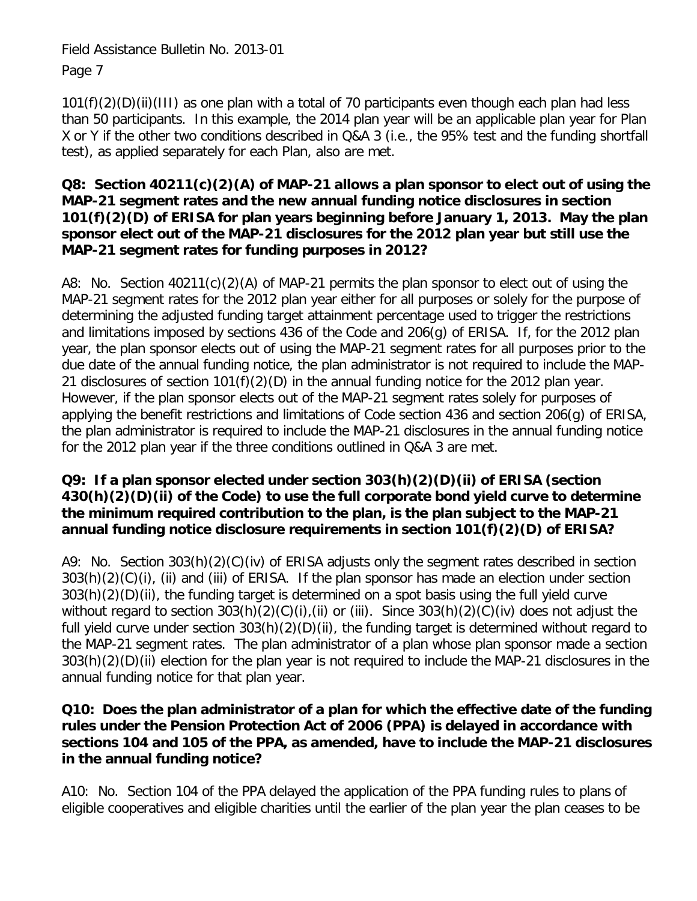101(f)(2)(D)(ii)(III) as one plan with a total of 70 participants even though each plan had less than 50 participants. In this example, the 2014 plan year will be an applicable plan year for Plan X or Y if the other two conditions described in Q&A 3 (i.e., the 95% test and the funding shortfall test), as applied separately for each Plan, also are met.

#### **Q8: Section 40211(c)(2)(A) of MAP-21 allows a plan sponsor to elect out of using the MAP-21 segment rates and the new annual funding notice disclosures in section 101(f)(2)(D) of ERISA for plan years beginning before January 1, 2013. May the plan sponsor elect out of the MAP-21 disclosures for the 2012 plan year but still use the MAP-21 segment rates for funding purposes in 2012?**

A8: No. Section 40211(c)(2)(A) of MAP-21 permits the plan sponsor to elect out of using the MAP-21 segment rates for the 2012 plan year either for all purposes or solely for the purpose of determining the adjusted funding target attainment percentage used to trigger the restrictions and limitations imposed by sections 436 of the Code and 206(g) of ERISA. If, for the 2012 plan year, the plan sponsor elects out of using the MAP-21 segment rates for all purposes prior to the due date of the annual funding notice, the plan administrator is not required to include the MAP-21 disclosures of section 101(f)(2)(D) in the annual funding notice for the 2012 plan year. However, if the plan sponsor elects out of the MAP-21 segment rates solely for purposes of applying the benefit restrictions and limitations of Code section 436 and section 206(g) of ERISA, the plan administrator is required to include the MAP-21 disclosures in the annual funding notice for the 2012 plan year if the three conditions outlined in Q&A 3 are met.

#### **Q9: If a plan sponsor elected under section 303(h)(2)(D)(ii) of ERISA (section 430(h)(2)(D)(ii) of the Code) to use the full corporate bond yield curve to determine the minimum required contribution to the plan, is the plan subject to the MAP-21 annual funding notice disclosure requirements in section 101(f)(2)(D) of ERISA?**

A9: No. Section 303(h)(2)(C)(iv) of ERISA adjusts only the segment rates described in section 303(h)(2)(C)(i), (ii) and (iii) of ERISA. If the plan sponsor has made an election under section 303(h)(2)(D)(ii), the funding target is determined on a spot basis using the full yield curve without regard to section 303(h)(2)(C)(i),(ii) or (iii). Since 303(h)(2)(C)(iv) does not adjust the full yield curve under section 303(h)(2)(D)(ii), the funding target is determined without regard to the MAP-21 segment rates. The plan administrator of a plan whose plan sponsor made a section 303(h)(2)(D)(ii) election for the plan year is not required to include the MAP-21 disclosures in the annual funding notice for that plan year.

#### **Q10: Does the plan administrator of a plan for which the effective date of the funding rules under the Pension Protection Act of 2006 (PPA) is delayed in accordance with sections 104 and 105 of the PPA, as amended, have to include the MAP-21 disclosures in the annual funding notice?**

A10: No. Section 104 of the PPA delayed the application of the PPA funding rules to plans of eligible cooperatives and eligible charities until the earlier of the plan year the plan ceases to be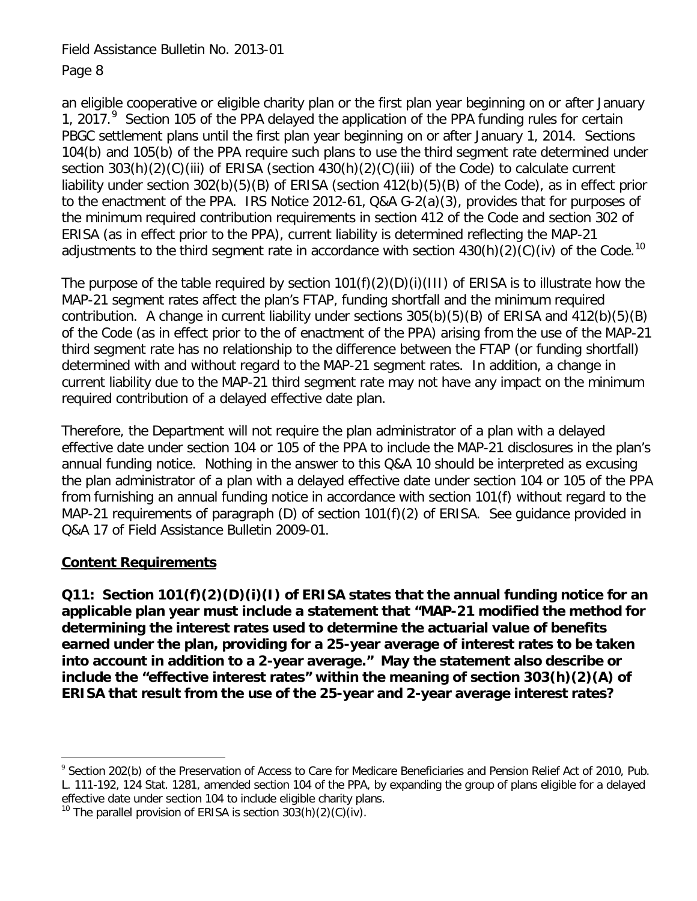an eligible cooperative or eligible charity plan or the first plan year beginning on or after January 1, 2017.<sup>[9](#page-5-2)</sup> Section 105 of the PPA delayed the application of the PPA funding rules for certain PBGC settlement plans until the first plan year beginning on or after January 1, 2014. Sections 104(b) and 105(b) of the PPA require such plans to use the third segment rate determined under section 303(h)(2)(C)(iii) of ERISA (section 430(h)(2)(C)(iii) of the Code) to calculate current liability under section 302(b)(5)(B) of ERISA (section 412(b)(5)(B) of the Code), as in effect prior to the enactment of the PPA. IRS Notice 2012-61, Q&A G-2(a)(3), provides that for purposes of the minimum required contribution requirements in section 412 of the Code and section 302 of ERISA (as in effect prior to the PPA), current liability is determined reflecting the MAP-21 adjustments to the third segment rate in accordance with section  $430(h)(2)(C)(iv)$  of the Code.<sup>[10](#page-7-0)</sup>

The purpose of the table required by section  $101(f)(2)(D)(i)(III)$  of ERISA is to illustrate how the MAP-21 segment rates affect the plan's FTAP, funding shortfall and the minimum required contribution. A change in current liability under sections 305(b)(5)(B) of ERISA and 412(b)(5)(B) of the Code (as in effect prior to the of enactment of the PPA) arising from the use of the MAP-21 third segment rate has no relationship to the difference between the FTAP (or funding shortfall) determined with and without regard to the MAP-21 segment rates. In addition, a change in current liability due to the MAP-21 third segment rate may not have any impact on the minimum required contribution of a delayed effective date plan.

Therefore, the Department will not require the plan administrator of a plan with a delayed effective date under section 104 or 105 of the PPA to include the MAP-21 disclosures in the plan's annual funding notice. Nothing in the answer to this Q&A 10 should be interpreted as excusing the plan administrator of a plan with a delayed effective date under section 104 or 105 of the PPA from furnishing an annual funding notice in accordance with section 101(f) without regard to the MAP-21 requirements of paragraph (D) of section 101(f)(2) of ERISA. See guidance provided in Q&A 17 of Field Assistance Bulletin 2009-01.

## **Content Requirements**

**Q11: Section 101(f)(2)(D)(i)(I) of ERISA states that the annual funding notice for an applicable plan year must include a statement that "MAP-21 modified the method for determining the interest rates used to determine the actuarial value of benefits earned under the plan, providing for a 25-year average of interest rates to be taken into account in addition to a 2-year average." May the statement also describe or include the "effective interest rates" within the meaning of section 303(h)(2)(A) of ERISA that result from the use of the 25-year and 2-year average interest rates?** 

<sup>&</sup>lt;sup>9</sup> Section 202(b) of the Preservation of Access to Care for Medicare Beneficiaries and Pension Relief Act of 2010, Pub. L. 111-192, 124 Stat. 1281, amended section 104 of the PPA, by expanding the group of plans eligible for a delayed effective date under section 104 to include eligible charity plans.

<span id="page-7-1"></span><span id="page-7-0"></span><sup>&</sup>lt;sup>10</sup> The parallel provision of ERISA is section  $303(h)(2)(C)(iv)$ .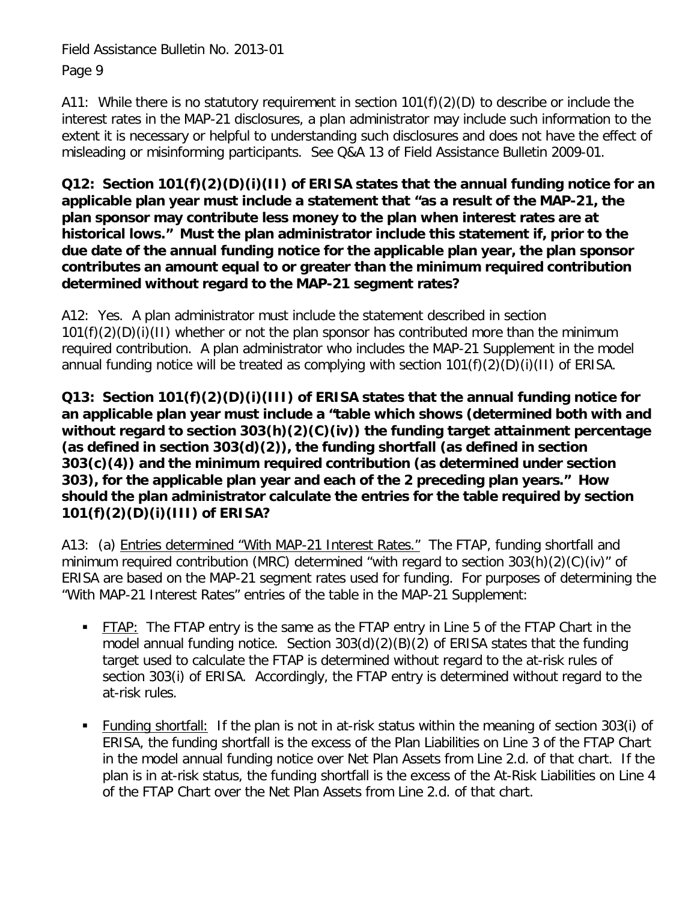A11: While there is no statutory requirement in section 101(f)(2)(D) to describe or include the interest rates in the MAP-21 disclosures, a plan administrator may include such information to the extent it is necessary or helpful to understanding such disclosures and does not have the effect of misleading or misinforming participants. See Q&A 13 of Field Assistance Bulletin 2009-01.

**Q12: Section 101(f)(2)(D)(i)(II) of ERISA states that the annual funding notice for an applicable plan year must include a statement that "as a result of the MAP-21, the plan sponsor may contribute less money to the plan when interest rates are at historical lows." Must the plan administrator include this statement if, prior to the due date of the annual funding notice for the applicable plan year, the plan sponsor contributes an amount equal to or greater than the minimum required contribution determined without regard to the MAP-21 segment rates?**

A12: Yes. A plan administrator must include the statement described in section 101(f)(2)(D)(i)(II) whether or not the plan sponsor has contributed more than the minimum required contribution. A plan administrator who includes the MAP-21 Supplement in the model annual funding notice will be treated as complying with section  $101(f)(2)(D)(i)(1)$  of ERISA.

**Q13: Section 101(f)(2)(D)(i)(III) of ERISA states that the annual funding notice for an applicable plan year must include a "table which shows (determined both with and without regard to section 303(h)(2)(C)(iv)) the funding target attainment percentage (as defined in section 303(d)(2)), the funding shortfall (as defined in section 303(c)(4)) and the minimum required contribution (as determined under section 303), for the applicable plan year and each of the 2 preceding plan years." How should the plan administrator calculate the entries for the table required by section 101(f)(2)(D)(i)(III) of ERISA?**

A13: (a) Entries determined "With MAP-21 Interest Rates." The FTAP, funding shortfall and minimum required contribution (MRC) determined "with regard to section  $303(h)(2)(C)(iv)$ " of ERISA are based on the MAP-21 segment rates used for funding. For purposes of determining the "With MAP-21 Interest Rates" entries of the table in the MAP-21 Supplement:

- FTAP:The FTAP entry is the same as the FTAP entry in Line 5 of the FTAP Chart in the model annual funding notice. Section 303(d)(2)(B)(2) of ERISA states that the funding target used to calculate the FTAP is determined without regard to the at-risk rules of section 303(i) of ERISA. Accordingly, the FTAP entry is determined without regard to the at-risk rules.
- Funding shortfall: If the plan is not in at-risk status within the meaning of section 303(i) of ERISA, the funding shortfall is the excess of the Plan Liabilities on Line 3 of the FTAP Chart in the model annual funding notice over Net Plan Assets from Line 2.d. of that chart. If the plan is in at-risk status, the funding shortfall is the excess of the At-Risk Liabilities on Line 4 of the FTAP Chart over the Net Plan Assets from Line 2.d. of that chart.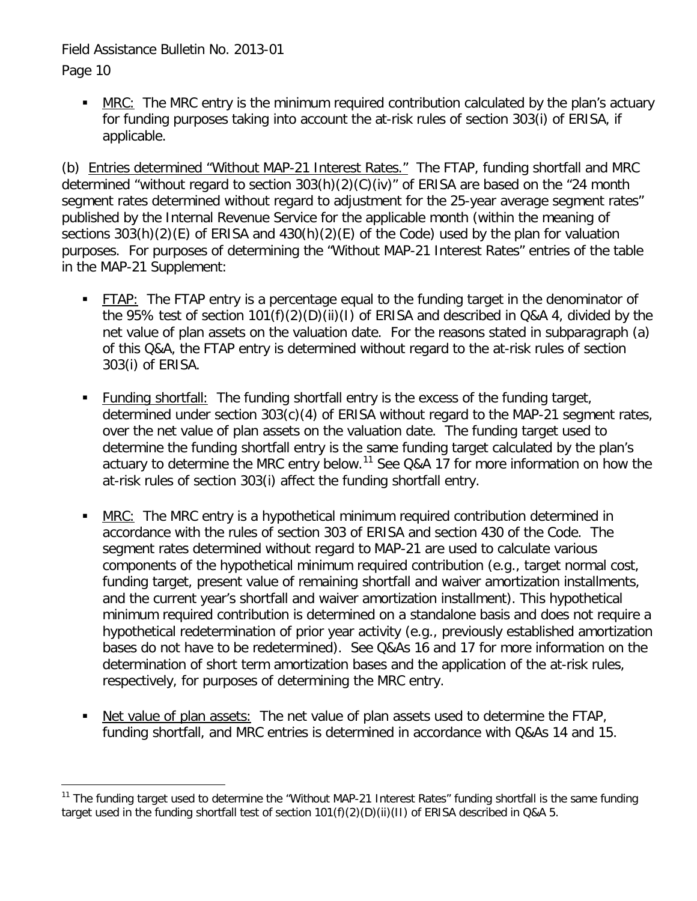Page 10

 MRC:The MRC entry is the minimum required contribution calculated by the plan's actuary for funding purposes taking into account the at-risk rules of section 303(i) of ERISA, if applicable.

(b) Entries determined "Without MAP-21 Interest Rates." The FTAP, funding shortfall and MRC determined "without regard to section 303(h)(2)(C)(iv)" of ERISA are based on the "24 month segment rates determined without regard to adjustment for the 25-year average segment rates" published by the Internal Revenue Service for the applicable month (within the meaning of sections 303(h)(2)(E) of ERISA and 430(h)(2)(E) of the Code) used by the plan for valuation purposes. For purposes of determining the "Without MAP-21 Interest Rates" entries of the table in the MAP-21 Supplement:

- FTAP: The FTAP entry is a percentage equal to the funding target in the denominator of the 95% test of section 101(f)(2)(D)(ii)(I) of ERISA and described in Q&A 4, divided by the net value of plan assets on the valuation date. For the reasons stated in subparagraph (a) of this Q&A, the FTAP entry is determined without regard to the at-risk rules of section 303(i) of ERISA.
- Funding shortfall: The funding shortfall entry is the excess of the funding target, determined under section 303(c)(4) of ERISA without regard to the MAP-21 segment rates, over the net value of plan assets on the valuation date. The funding target used to determine the funding shortfall entry is the same funding target calculated by the plan's actuary to determine the MRC entry below.<sup>[11](#page-7-1)</sup> See Q&A 17 for more information on how the at-risk rules of section 303(i) affect the funding shortfall entry.
- MRC: The MRC entry is a hypothetical minimum required contribution determined in accordance with the rules of section 303 of ERISA and section 430 of the Code. The segment rates determined without regard to MAP-21 are used to calculate various components of the hypothetical minimum required contribution (e.g., target normal cost, funding target, present value of remaining shortfall and waiver amortization installments, and the current year's shortfall and waiver amortization installment). This hypothetical minimum required contribution is determined on a standalone basis and does not require a hypothetical redetermination of prior year activity (e.g., previously established amortization bases do not have to be redetermined). See Q&As 16 and 17 for more information on the determination of short term amortization bases and the application of the at-risk rules, respectively, for purposes of determining the MRC entry.
- Net value of plan assets: The net value of plan assets used to determine the FTAP, funding shortfall, and MRC entries is determined in accordance with Q&As 14 and 15.

<span id="page-9-0"></span><sup>&</sup>lt;sup>11</sup> The funding target used to determine the "Without MAP-21 Interest Rates" funding shortfall is the same funding target used in the funding shortfall test of section 101(f)(2)(D)(ii)(II) of ERISA described in Q&A 5.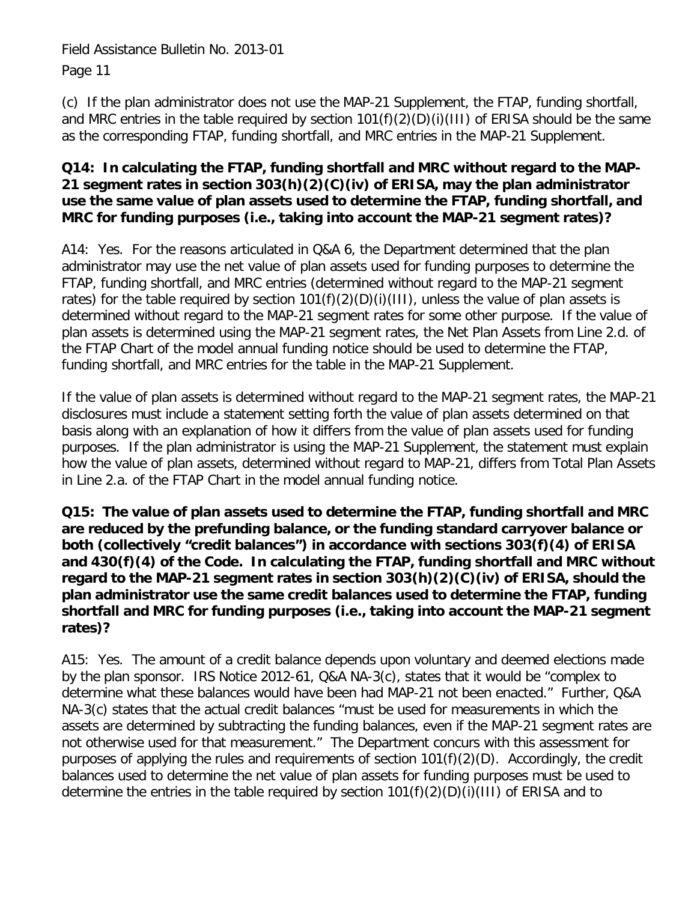(c) If the plan administrator does not use the MAP-21 Supplement, the FTAP, funding shortfall, and MRC entries in the table required by section 101(f)(2)(D)(i)(III) of ERISA should be the same as the corresponding FTAP, funding shortfall, and MRC entries in the MAP-21 Supplement.

#### **Q14: In calculating the FTAP, funding shortfall and MRC without regard to the MAP-21 segment rates in section 303(h)(2)(C)(iv) of ERISA, may the plan administrator use the same value of plan assets used to determine the FTAP, funding shortfall, and MRC for funding purposes (i.e., taking into account the MAP-21 segment rates)?**

A14: Yes. For the reasons articulated in Q&A 6, the Department determined that the plan administrator may use the net value of plan assets used for funding purposes to determine the FTAP, funding shortfall, and MRC entries (determined without regard to the MAP-21 segment rates) for the table required by section  $101(f)(2)(D)(i)(III)$ , unless the value of plan assets is determined without regard to the MAP-21 segment rates for some other purpose. If the value of plan assets is determined using the MAP-21 segment rates, the Net Plan Assets from Line 2.d. of the FTAP Chart of the model annual funding notice should be used to determine the FTAP, funding shortfall, and MRC entries for the table in the MAP-21 Supplement.

If the value of plan assets is determined without regard to the MAP-21 segment rates, the MAP-21 disclosures must include a statement setting forth the value of plan assets determined on that basis along with an explanation of how it differs from the value of plan assets used for funding purposes. If the plan administrator is using the MAP-21 Supplement, the statement must explain how the value of plan assets, determined without regard to MAP-21, differs from Total Plan Assets in Line 2.a. of the FTAP Chart in the model annual funding notice.

**Q15: The value of plan assets used to determine the FTAP, funding shortfall and MRC are reduced by the prefunding balance, or the funding standard carryover balance or both (collectively "credit balances") in accordance with sections 303(f)(4) of ERISA and 430(f)(4) of the Code. In calculating the FTAP, funding shortfall and MRC without regard to the MAP-21 segment rates in section 303(h)(2)(C)(iv) of ERISA, should the plan administrator use the same credit balances used to determine the FTAP, funding shortfall and MRC for funding purposes (i.e., taking into account the MAP-21 segment rates)?**

A15: Yes. The amount of a credit balance depends upon voluntary and deemed elections made by the plan sponsor. IRS Notice 2012-61, Q&A NA-3(c), states that it would be "complex to determine what these balances would have been had MAP-21 not been enacted." Further, Q&A NA-3(c) states that the actual credit balances "must be used for measurements in which the assets are determined by subtracting the funding balances, even if the MAP-21 segment rates are not otherwise used for that measurement." The Department concurs with this assessment for purposes of applying the rules and requirements of section 101(f)(2)(D). Accordingly, the credit balances used to determine the net value of plan assets for funding purposes must be used to determine the entries in the table required by section 101(f)(2)(D)(i)(III) of ERISA and to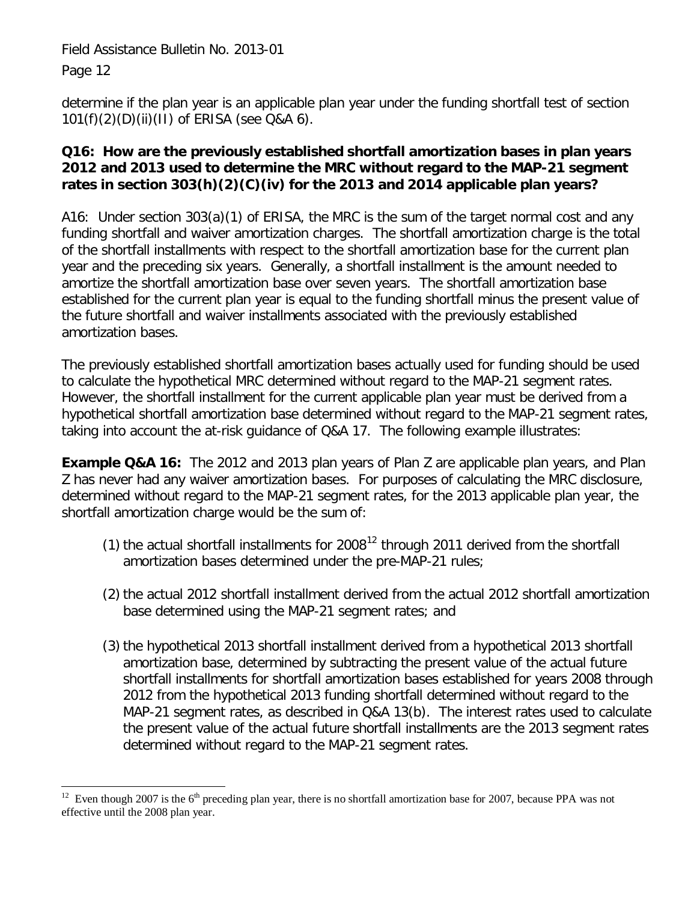determine if the plan year is an applicable plan year under the funding shortfall test of section 101(f)(2)(D)(ii)(II) of ERISA (see Q&A 6).

## **Q16: How are the previously established shortfall amortization bases in plan years 2012 and 2013 used to determine the MRC without regard to the MAP-21 segment rates in section 303(h)(2)(C)(iv) for the 2013 and 2014 applicable plan years?**

A16: Under section 303(a)(1) of ERISA, the MRC is the sum of the target normal cost and any funding shortfall and waiver amortization charges. The shortfall amortization charge is the total of the shortfall installments with respect to the shortfall amortization base for the current plan year and the preceding six years. Generally, a shortfall installment is the amount needed to amortize the shortfall amortization base over seven years. The shortfall amortization base established for the current plan year is equal to the funding shortfall minus the present value of the future shortfall and waiver installments associated with the previously established amortization bases.

The previously established shortfall amortization bases actually used for funding should be used to calculate the hypothetical MRC determined without regard to the MAP-21 segment rates. However, the shortfall installment for the current applicable plan year must be derived from a hypothetical shortfall amortization base determined without regard to the MAP-21 segment rates, taking into account the at-risk guidance of Q&A 17. The following example illustrates:

**Example Q&A 16:** The 2012 and 2013 plan years of Plan Z are applicable plan years, and Plan Z has never had any waiver amortization bases. For purposes of calculating the MRC disclosure, determined without regard to the MAP-21 segment rates, for the 2013 applicable plan year, the shortfall amortization charge would be the sum of:

- (1) the actual shortfall installments for  $2008<sup>12</sup>$  $2008<sup>12</sup>$  $2008<sup>12</sup>$  through 2011 derived from the shortfall amortization bases determined under the pre-MAP-21 rules;
- (2) the actual 2012 shortfall installment derived from the actual 2012 shortfall amortization base determined using the MAP-21 segment rates; and
- (3) the hypothetical 2013 shortfall installment derived from a hypothetical 2013 shortfall amortization base, determined by subtracting the present value of the actual future shortfall installments for shortfall amortization bases established for years 2008 through 2012 from the hypothetical 2013 funding shortfall determined without regard to the MAP-21 segment rates, as described in Q&A 13(b). The interest rates used to calculate the present value of the actual future shortfall installments are the 2013 segment rates determined without regard to the MAP-21 segment rates.

<span id="page-11-0"></span>Even though 2007 is the  $6<sup>th</sup>$  preceding plan year, there is no shortfall amortization base for 2007, because PPA was not effective until the 2008 plan year.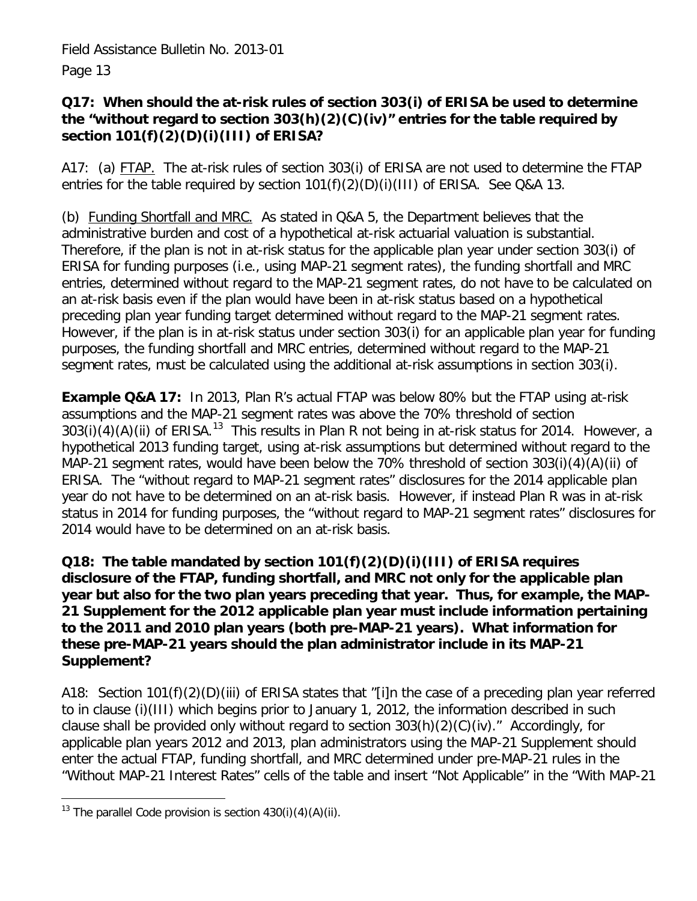## **Q17: When should the at-risk rules of section 303(i) of ERISA be used to determine the "without regard to section 303(h)(2)(C)(iv)" entries for the table required by section 101(f)(2)(D)(i)(III) of ERISA?**

A17: (a) FTAP. The at-risk rules of section 303(i) of ERISA are not used to determine the FTAP entries for the table required by section 101(f)(2)(D)(i)(III) of ERISA. See Q&A 13.

(b) Funding Shortfall and MRC. As stated in Q&A 5, the Department believes that the administrative burden and cost of a hypothetical at-risk actuarial valuation is substantial. Therefore, if the plan is not in at-risk status for the applicable plan year under section 303(i) of ERISA for funding purposes (i.e., using MAP-21 segment rates), the funding shortfall and MRC entries, determined without regard to the MAP-21 segment rates, do not have to be calculated on an at-risk basis even if the plan would have been in at-risk status based on a hypothetical preceding plan year funding target determined without regard to the MAP-21 segment rates. However, if the plan is in at-risk status under section 303(i) for an applicable plan year for funding purposes, the funding shortfall and MRC entries, determined without regard to the MAP-21 segment rates, must be calculated using the additional at-risk assumptions in section 303(i).

**Example Q&A 17:** In 2013, Plan R's actual FTAP was below 80% but the FTAP using at-risk assumptions and the MAP-21 segment rates was above the 70% threshold of section  $303(i)(4)(A)(ii)$  of ERISA.<sup>13</sup> This results in Plan R not being in at-risk status for 2014. However, a hypothetical 2013 funding target, using at-risk assumptions but determined without regard to the MAP-21 segment rates, would have been below the 70% threshold of section 303(i)(4)(A)(ii) of ERISA. The "without regard to MAP-21 segment rates" disclosures for the 2014 applicable plan year do not have to be determined on an at-risk basis. However, if instead Plan R was in at-risk status in 2014 for funding purposes, the "without regard to MAP-21 segment rates" disclosures for 2014 would have to be determined on an at-risk basis.

## **Q18: The table mandated by section 101(f)(2)(D)(i)(III) of ERISA requires disclosure of the FTAP, funding shortfall, and MRC not only for the applicable plan year but also for the two plan years preceding that year. Thus, for example, the MAP-21 Supplement for the 2012 applicable plan year must include information pertaining to the 2011 and 2010 plan years (both pre-MAP-21 years). What information for these pre-MAP-21 years should the plan administrator include in its MAP-21 Supplement?**

A18: Section 101(f)(2)(D)(iii) of ERISA states that "[i]n the case of a preceding plan year referred to in clause (i)(III) which begins prior to January 1, 2012, the information described in such clause shall be provided only without regard to section 303(h)(2)(C)(iv)." Accordingly, for applicable plan years 2012 and 2013, plan administrators using the MAP-21 Supplement should enter the actual FTAP, funding shortfall, and MRC determined under pre-MAP-21 rules in the "Without MAP-21 Interest Rates" cells of the table and insert "Not Applicable" in the "With MAP-21

<span id="page-12-0"></span> $\overline{a}$ <sup>13</sup> The parallel Code provision is section  $430(i)(4)(A)(ii)$ .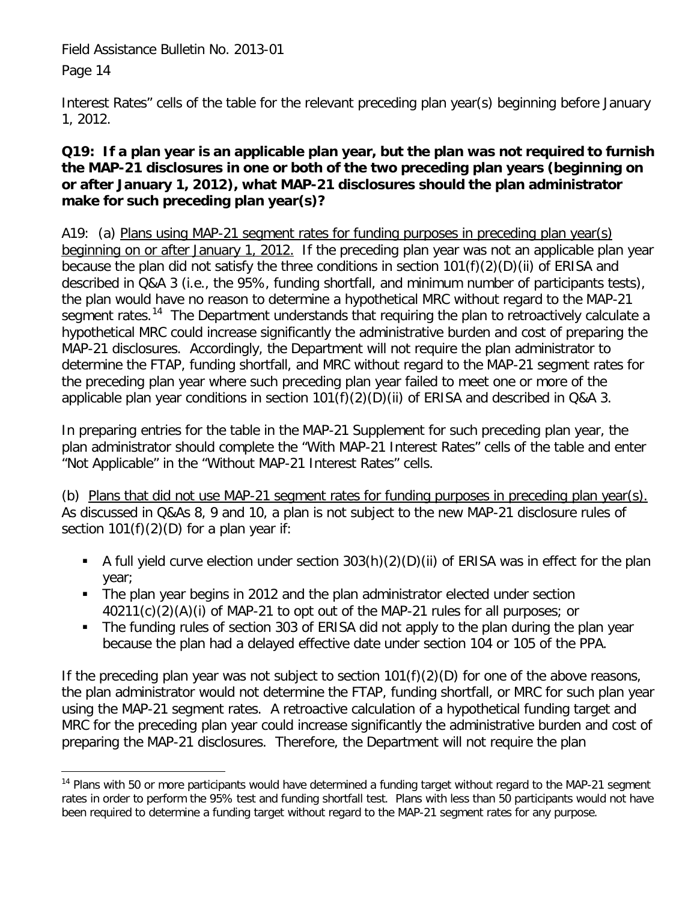Page 14

Interest Rates" cells of the table for the relevant preceding plan year(s) beginning before January 1, 2012.

## **Q19: If a plan year is an applicable plan year, but the plan was not required to furnish the MAP-21 disclosures in one or both of the two preceding plan years (beginning on or after January 1, 2012), what MAP-21 disclosures should the plan administrator make for such preceding plan year(s)?**

A19: (a) Plans using MAP-21 segment rates for funding purposes in preceding plan year(s) beginning on or after January 1, 2012.If the preceding plan year was not an applicable plan year because the plan did not satisfy the three conditions in section 101(f)(2)(D)(ii) of ERISA and described in Q&A 3 (i.e., the 95%, funding shortfall, and minimum number of participants tests), the plan would have no reason to determine a hypothetical MRC without regard to the MAP-21 segment rates.<sup>[14](#page-12-0)</sup> The Department understands that requiring the plan to retroactively calculate a hypothetical MRC could increase significantly the administrative burden and cost of preparing the MAP-21 disclosures. Accordingly, the Department will not require the plan administrator to determine the FTAP, funding shortfall, and MRC without regard to the MAP-21 segment rates for the preceding plan year where such preceding plan year failed to meet one or more of the applicable plan year conditions in section 101(f)(2)(D)(ii) of ERISA and described in Q&A 3.

In preparing entries for the table in the MAP-21 Supplement for such preceding plan year, the plan administrator should complete the "With MAP-21 Interest Rates" cells of the table and enter "Not Applicable" in the "Without MAP-21 Interest Rates" cells.

(b) Plans that did not use MAP-21 segment rates for funding purposes in preceding plan year(s). As discussed in Q&As 8, 9 and 10, a plan is not subject to the new MAP-21 disclosure rules of section  $101(f)(2)(D)$  for a plan year if:

- A full yield curve election under section  $303(h)(2)(D)(ii)$  of ERISA was in effect for the plan year;
- The plan year begins in 2012 and the plan administrator elected under section 40211(c)(2)(A)(i) of MAP-21 to opt out of the MAP-21 rules for all purposes; or
- The funding rules of section 303 of ERISA did not apply to the plan during the plan year because the plan had a delayed effective date under section 104 or 105 of the PPA.

If the preceding plan year was not subject to section  $101(f)(2)(D)$  for one of the above reasons, the plan administrator would not determine the FTAP, funding shortfall, or MRC for such plan year using the MAP-21 segment rates. A retroactive calculation of a hypothetical funding target and MRC for the preceding plan year could increase significantly the administrative burden and cost of preparing the MAP-21 disclosures. Therefore, the Department will not require the plan

<span id="page-13-0"></span><sup>&</sup>lt;sup>14</sup> Plans with 50 or more participants would have determined a funding target without regard to the MAP-21 segment rates in order to perform the 95% test and funding shortfall test. Plans with less than 50 participants would not have been required to determine a funding target without regard to the MAP-21 segment rates for any purpose.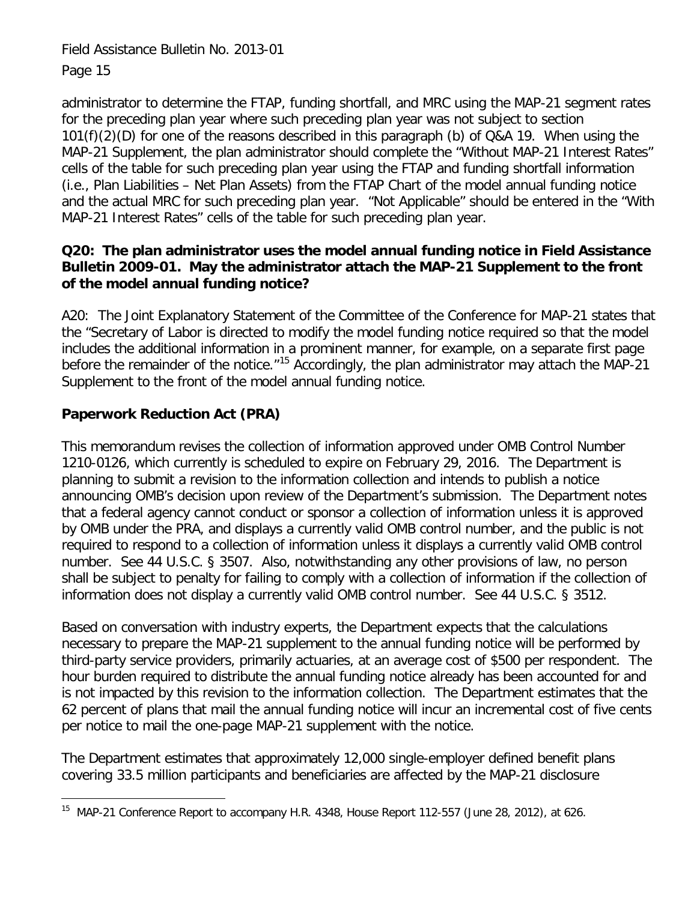administrator to determine the FTAP, funding shortfall, and MRC using the MAP-21 segment rates for the preceding plan year where such preceding plan year was not subject to section 101(f)(2)(D) for one of the reasons described in this paragraph (b) of Q&A 19. When using the MAP-21 Supplement, the plan administrator should complete the "Without MAP-21 Interest Rates" cells of the table for such preceding plan year using the FTAP and funding shortfall information (i.e., Plan Liabilities – Net Plan Assets) from the FTAP Chart of the model annual funding notice and the actual MRC for such preceding plan year. "Not Applicable" should be entered in the "With MAP-21 Interest Rates" cells of the table for such preceding plan year.

## **Q20: The plan administrator uses the model annual funding notice in Field Assistance Bulletin 2009-01. May the administrator attach the MAP-21 Supplement to the front of the model annual funding notice?**

A20: The Joint Explanatory Statement of the Committee of the Conference for MAP-21 states that the "Secretary of Labor is directed to modify the model funding notice required so that the model includes the additional information in a prominent manner, for example, on a separate first page before the remainder of the notice. $n^{15}$  $n^{15}$  $n^{15}$  Accordingly, the plan administrator may attach the MAP-21 Supplement to the front of the model annual funding notice.

# **Paperwork Reduction Act (PRA)**

This memorandum revises the collection of information approved under OMB Control Number 1210-0126, which currently is scheduled to expire on February 29, 2016. The Department is planning to submit a revision to the information collection and intends to publish a notice announcing OMB's decision upon review of the Department's submission. The Department notes that a federal agency cannot conduct or sponsor a collection of information unless it is approved by OMB under the PRA, and displays a currently valid OMB control number, and the public is not required to respond to a collection of information unless it displays a currently valid OMB control number. See 44 U.S.C. § 3507. Also, notwithstanding any other provisions of law, no person shall be subject to penalty for failing to comply with a collection of information if the collection of information does not display a currently valid OMB control number. See 44 U.S.C. § 3512.

Based on conversation with industry experts, the Department expects that the calculations necessary to prepare the MAP-21 supplement to the annual funding notice will be performed by third-party service providers, primarily actuaries, at an average cost of \$500 per respondent. The hour burden required to distribute the annual funding notice already has been accounted for and is not impacted by this revision to the information collection. The Department estimates that the 62 percent of plans that mail the annual funding notice will incur an incremental cost of five cents per notice to mail the one-page MAP-21 supplement with the notice.

The Department estimates that approximately 12,000 single-employer defined benefit plans covering 33.5 million participants and beneficiaries are affected by the MAP-21 disclosure

 $\overline{a}$ <sup>15</sup> MAP-21 Conference Report to accompany H.R. 4348, House Report 112-557 (June 28, 2012), at 626.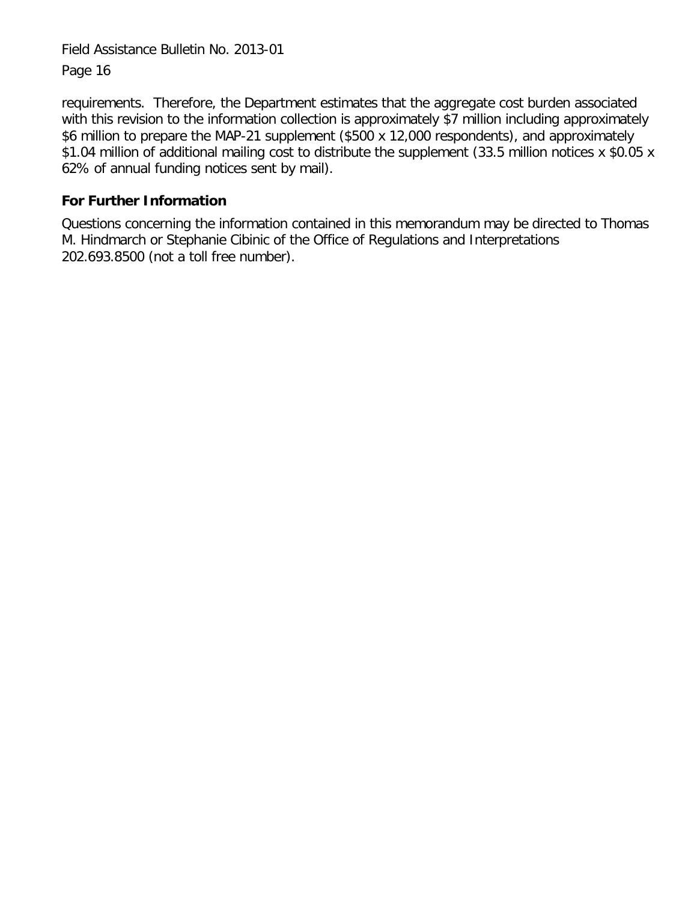requirements. Therefore, the Department estimates that the aggregate cost burden associated with this revision to the information collection is approximately \$7 million including approximately \$6 million to prepare the MAP-21 supplement (\$500 x 12,000 respondents), and approximately \$1.04 million of additional mailing cost to distribute the supplement (33.5 million notices x \$0.05 x 62% of annual funding notices sent by mail).

## **For Further Information**

Questions concerning the information contained in this memorandum may be directed to Thomas M. Hindmarch or Stephanie Cibinic of the Office of Regulations and Interpretations 202.693.8500 (not a toll free number).